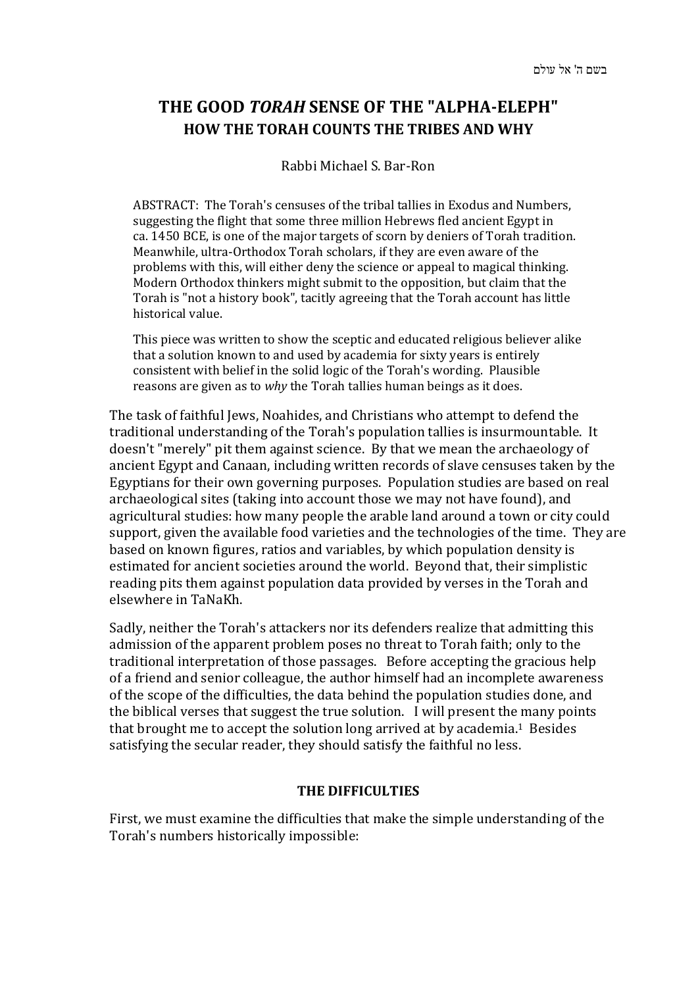## **THE GOOD** *TORAH* **SENSE OF THE "ALPHA-ELEPH" HOW THE TORAH COUNTS THE TRIBES AND WHY**

## Rabbi Michael S. Bar-Ron

ABSTRACT: The Torah's censuses of the tribal tallies in Exodus and Numbers, suggesting the flight that some three million Hebrews fled ancient Egypt in ca. 1450 BCE, is one of the major targets of scorn by deniers of Torah tradition. Meanwhile, ultra-Orthodox Torah scholars, if they are even aware of the problems with this, will either deny the science or appeal to magical thinking. Modern Orthodox thinkers might submit to the opposition, but claim that the Torah is "not a history book", tacitly agreeing that the Torah account has little historical value.

This piece was written to show the sceptic and educated religious believer alike that a solution known to and used by academia for sixty years is entirely consistent with belief in the solid logic of the Torah's wording. Plausible reasons are given as to *why* the Torah tallies human beings as it does.

The task of faithful Jews, Noahides, and Christians who attempt to defend the traditional understanding of the Torah's population tallies is insurmountable. It doesn't "merely" pit them against science. By that we mean the archaeology of ancient Egypt and Canaan, including written records of slave censuses taken by the Egyptians for their own governing purposes. Population studies are based on real archaeological sites (taking into account those we may not have found), and agricultural studies: how many people the arable land around a town or city could support, given the available food varieties and the technologies of the time. They are based on known figures, ratios and variables, by which population density is estimated for ancient societies around the world. Beyond that, their simplistic reading pits them against population data provided by verses in the Torah and elsewhere in TaNaKh.

Sadly, neither the Torah's attackers nor its defenders realize that admitting this admission of the apparent problem poses no threat to Torah faith; only to the traditional interpretation of those passages. Before accepting the gracious help of a friend and senior colleague, the author himself had an incomplete awareness of the scope of the difficulties, the data behind the population studies done, and the biblical verses that suggest the true solution. I will present the many points that brought me to accept the solution long arrived at by academia.1 Besides satisfying the secular reader, they should satisfy the faithful no less.

### **THE DIFFICULTIES**

First, we must examine the difficulties that make the simple understanding of the Torah's numbers historically impossible: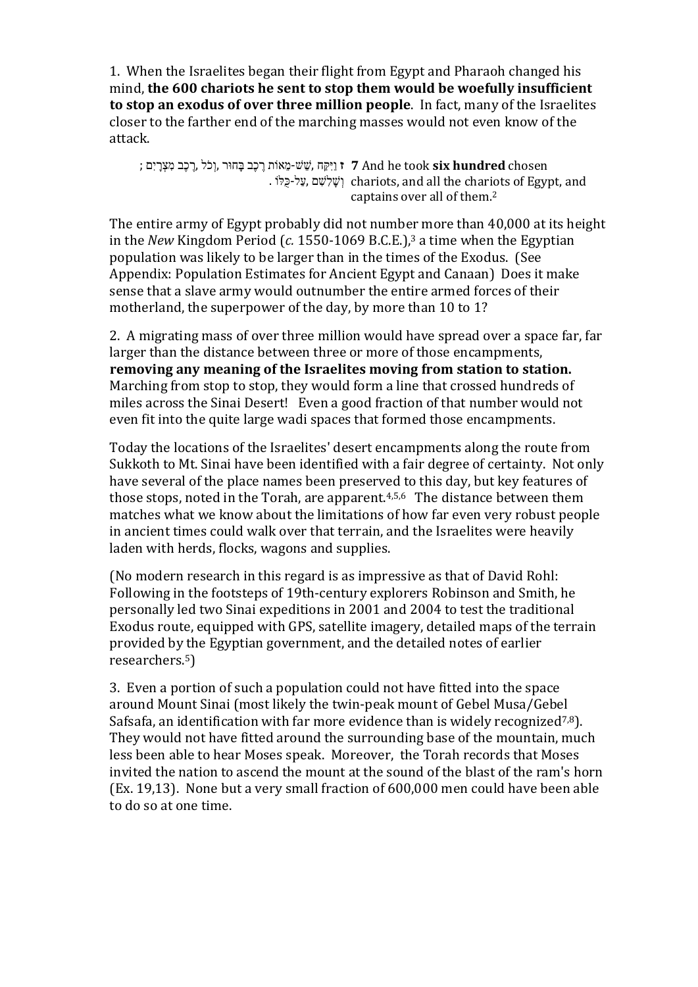1. When the Israelites began their flight from Egypt and Pharaoh changed his mind, **the 600 chariots he sent to stop them would be woefully insufficient to stop an exodus of over three million people**. In fact, many of the Israelites closer to the farther end of the marching masses would not even know of the attack.

**ז** ִוַיּקַּח ,שֵׁ שׁ-מֵ אוֹת רֶ כֶב בָּחוּר ,וְ כֹל ,רֶ כֶב מִ צְ רָ יִם ; **7** And he took **six hundred** chosen . וְשֶׁלִשָּׁם ,עֲל-כֻּלּוֹ chariots, and all the chariots of Egypt, and captains over all of them.2

The entire army of Egypt probably did not number more than 40,000 at its height in the *New* Kingdom Period (*c.* 1550-1069 B.C.E.),3 a time when the Egyptian population was likely to be larger than in the times of the Exodus. (See Appendix: Population Estimates for Ancient Egypt and Canaan) Does it make sense that a slave army would outnumber the entire armed forces of their motherland, the superpower of the day, by more than 10 to 1?

2. A migrating mass of over three million would have spread over a space far, far larger than the distance between three or more of those encampments, **removing any meaning of the Israelites moving from station to station.** Marching from stop to stop, they would form a line that crossed hundreds of miles across the Sinai Desert! Even a good fraction of that number would not even fit into the quite large wadi spaces that formed those encampments.

Today the locations of the Israelites' desert encampments along the route from Sukkoth to Mt. Sinai have been identified with a fair degree of certainty. Not only have several of the place names been preserved to this day, but key features of those stops, noted in the Torah, are apparent.<sup>4,5,6</sup> The distance between them matches what we know about the limitations of how far even very robust people in ancient times could walk over that terrain, and the Israelites were heavily laden with herds, flocks, wagons and supplies.

(No modern research in this regard is as impressive as that of David Rohl: Following in the footsteps of 19th-century explorers Robinson and Smith, he personally led two Sinai expeditions in 2001 and 2004 to test the traditional Exodus route, equipped with GPS, satellite imagery, detailed maps of the terrain provided by the Egyptian government, and the detailed notes of earlier researchers.5)

3. Even a portion of such a population could not have fitted into the space around Mount Sinai (most likely the twin-peak mount of Gebel Musa/Gebel Safsafa, an identification with far more evidence than is widely recognized<sup>7,8</sup>). They would not have fitted around the surrounding base of the mountain, much less been able to hear Moses speak. Moreover, the Torah records that Moses invited the nation to ascend the mount at the sound of the blast of the ram's horn (Ex. 19,13). None but a very small fraction of 600,000 men could have been able to do so at one time.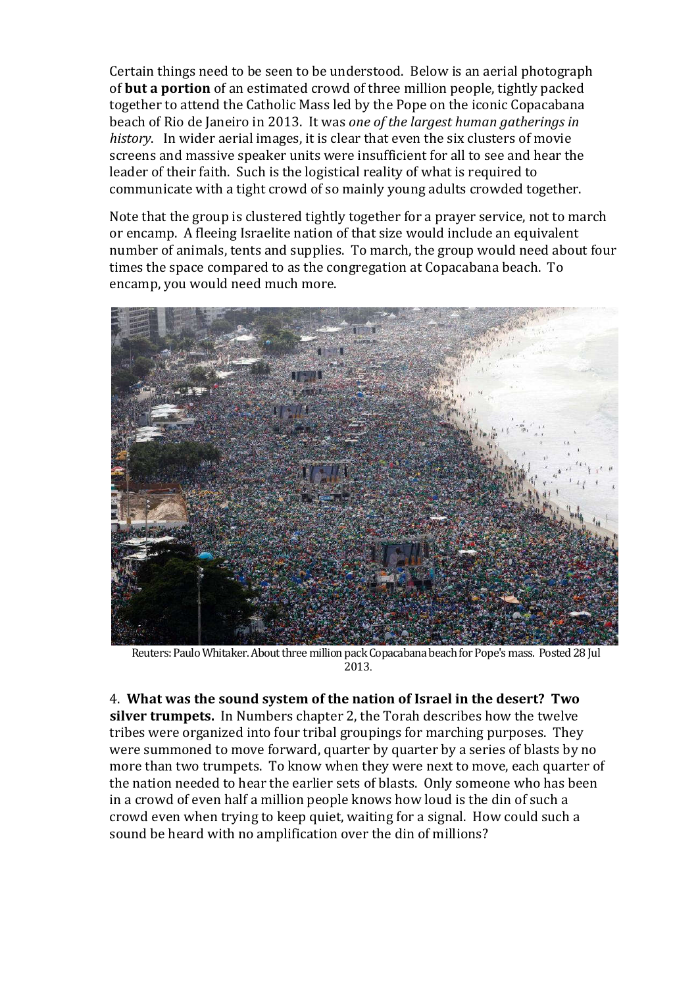Certain things need to be seen to be understood. Below is an aerial photograph of **but a portion** of an estimated crowd of three million people, tightly packed together to attend the Catholic Mass led by the Pope on the iconic Copacabana beach of Rio de Janeiro in 2013. It was *one of the largest human gatherings in history*. In wider aerial images, it is clear that even the six clusters of movie screens and massive speaker units were insufficient for all to see and hear the leader of their faith. Such is the logistical reality of what is required to communicate with a tight crowd of so mainly young adults crowded together.

Note that the group is clustered tightly together for a prayer service, not to march or encamp. A fleeing Israelite nation of that size would include an equivalent number of animals, tents and supplies. To march, the group would need about four times the space compared to as the congregation at Copacabana beach. To encamp, you would need much more.



Reuters: Paulo Whitaker. About three million pack Copacabana beach for Pope's mass. Posted 28 Jul 2013.

4. **What was the sound system of the nation of Israel in the desert? Two silver trumpets.** In Numbers chapter 2, the Torah describes how the twelve tribes were organized into four tribal groupings for marching purposes. They were summoned to move forward, quarter by quarter by a series of blasts by no more than two trumpets. To know when they were next to move, each quarter of the nation needed to hear the earlier sets of blasts. Only someone who has been in a crowd of even half a million people knows how loud is the din of such a crowd even when trying to keep quiet, waiting for a signal. How could such a sound be heard with no amplification over the din of millions?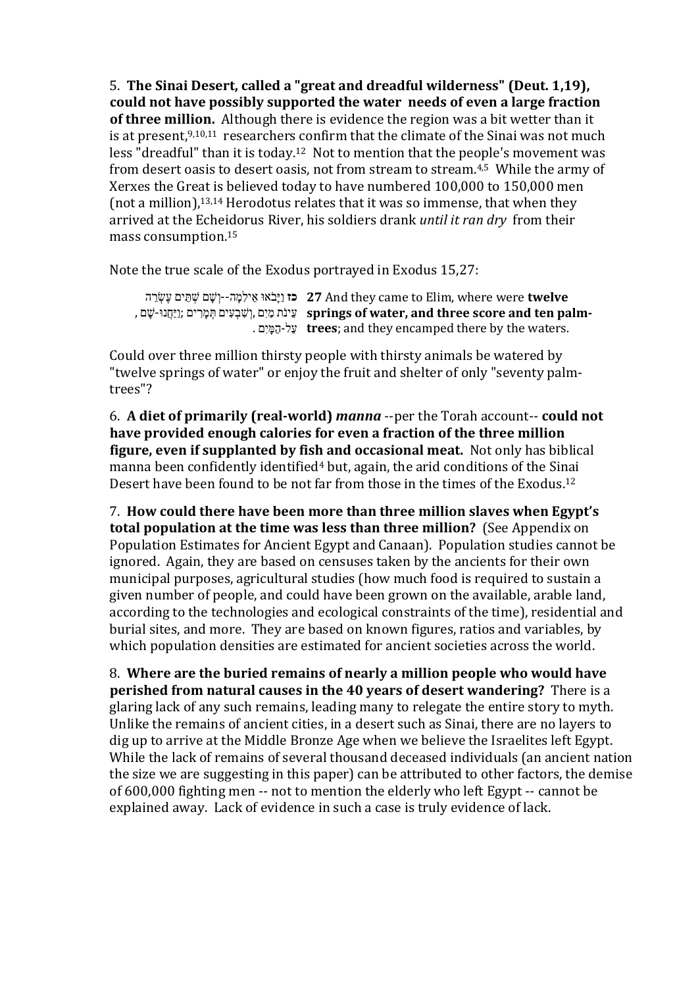5. **The Sinai Desert, called a "great and dreadful wilderness" (Deut. 1,19), could not have possibly supported the water needs of even a large fraction of three million.** Although there is evidence the region was a bit wetter than it is at present,<sup>9,10,11</sup> researchers confirm that the climate of the Sinai was not much less "dreadful" than it is today. <sup>12</sup> Not to mention that the people's movement was from desert oasis to desert oasis, not from stream to stream.4,5 While the army of Xerxes the Great is believed today to have numbered 100,000 to 150,000 men (not a million),13,14 Herodotus relates that it was so immense, that when they arrived at the Echeidorus River, his soldiers drank *until it ran dry* from their mass consumption.15

Note the true scale of the Exodus portrayed in Exodus 15,27:

```
כז וַיָּבֹאוּ אֵ ילִמָ ה--וְ שָׁ ם שְׁ תֵּ ים עֶשְׂ רֵ ה
27 And they came to Elim, where were twelve 
עֵינֹת מַ יִם ,וְ שִׁ בְ עִ ים תְּ מָ רִ ים ;וַיַּחֲנוּ-שָׁ ם ,
springs of water, and three score and ten palm-
                           עַל-הַמָּ יִם .
trees; and they encamped there by the waters.
```
Could over three million thirsty people with thirsty animals be watered by "twelve springs of water" or enjoy the fruit and shelter of only "seventy palmtrees"?

6. **A diet of primarily (real-world)** *manna* --per the Torah account-- **could not have provided enough calories for even a fraction of the three million figure, even if supplanted by fish and occasional meat.** Not only has biblical manna been confidently identified<sup>4</sup> but, again, the arid conditions of the Sinai Desert have been found to be not far from those in the times of the Exodus.12

7. **How could there have been more than three million slaves when Egypt's total population at the time was less than three million?** (See Appendix on Population Estimates for Ancient Egypt and Canaan). Population studies cannot be ignored. Again, they are based on censuses taken by the ancients for their own municipal purposes, agricultural studies (how much food is required to sustain a given number of people, and could have been grown on the available, arable land, according to the technologies and ecological constraints of the time), residential and burial sites, and more. They are based on known figures, ratios and variables, by which population densities are estimated for ancient societies across the world.

8. **Where are the buried remains of nearly a million people who would have perished from natural causes in the 40 years of desert wandering?** There is a glaring lack of any such remains, leading many to relegate the entire story to myth. Unlike the remains of ancient cities, in a desert such as Sinai, there are no layers to dig up to arrive at the Middle Bronze Age when we believe the Israelites left Egypt. While the lack of remains of several thousand deceased individuals (an ancient nation the size we are suggesting in this paper) can be attributed to other factors, the demise of 600,000 fighting men -- not to mention the elderly who left Egypt -- cannot be explained away. Lack of evidence in such a case is truly evidence of lack.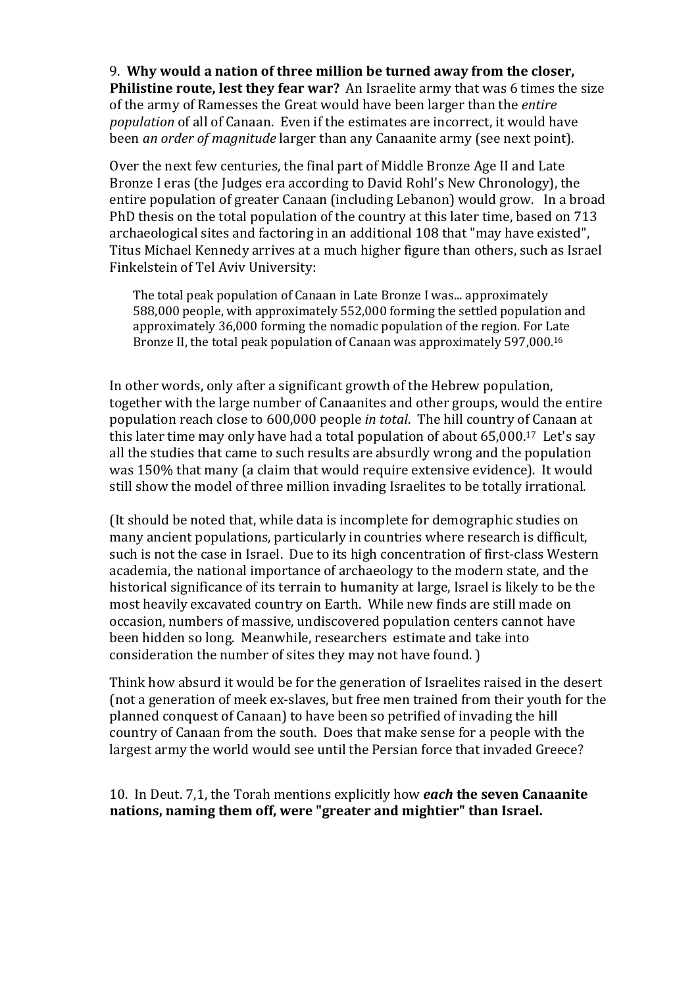9. **Why would a nation of three million be turned away from the closer, Philistine route, lest they fear war?** An Israelite army that was 6 times the size of the army of Ramesses the Great would have been larger than the *entire population* of all of Canaan. Even if the estimates are incorrect, it would have been *an order of magnitude* larger than any Canaanite army (see next point).

Over the next few centuries, the final part of Middle Bronze Age II and Late Bronze I eras (the Judges era according to David Rohl's New Chronology), the entire population of greater Canaan (including Lebanon) would grow. In a broad PhD thesis on the total population of the country at this later time, based on 713 archaeological sites and factoring in an additional 108 that "may have existed", Titus Michael Kennedy arrives at a much higher figure than others, such as Israel Finkelstein of Tel Aviv University:

The total peak population of Canaan in Late Bronze I was... approximately 588,000 people, with approximately 552,000 forming the settled population and approximately 36,000 forming the nomadic population of the region. For Late Bronze II, the total peak population of Canaan was approximately 597,000.16

In other words, only after a significant growth of the Hebrew population, together with the large number of Canaanites and other groups, would the entire population reach close to 600,000 people *in total*. The hill country of Canaan at this later time may only have had a total population of about 65,000.17 Let's say all the studies that came to such results are absurdly wrong and the population was 150% that many (a claim that would require extensive evidence). It would still show the model of three million invading Israelites to be totally irrational.

(It should be noted that, while data is incomplete for demographic studies on many ancient populations, particularly in countries where research is difficult, such is not the case in Israel. Due to its high concentration of first-class Western academia, the national importance of archaeology to the modern state, and the historical significance of its terrain to humanity at large, Israel is likely to be the most heavily excavated country on Earth. While new finds are still made on occasion, numbers of massive, undiscovered population centers cannot have been hidden so long. Meanwhile, researchers estimate and take into consideration the number of sites they may not have found. )

Think how absurd it would be for the generation of Israelites raised in the desert (not a generation of meek ex-slaves, but free men trained from their youth for the planned conquest of Canaan) to have been so petrified of invading the hill country of Canaan from the south. Does that make sense for a people with the largest army the world would see until the Persian force that invaded Greece?

10. In Deut. 7,1, the Torah mentions explicitly how *each* **the seven Canaanite nations, naming them off, were "greater and mightier" than Israel.**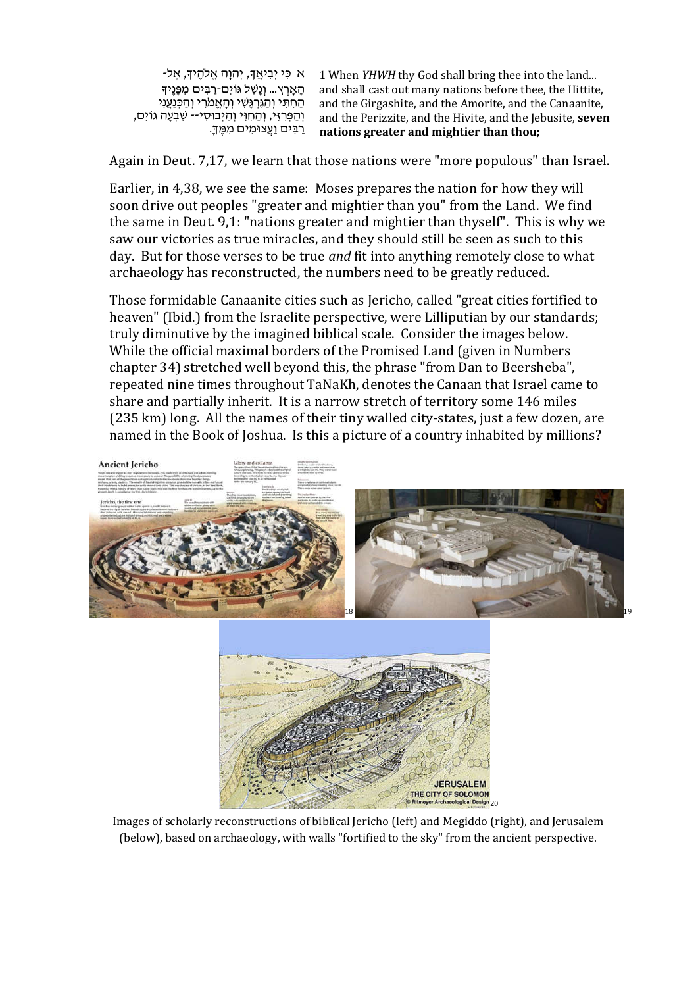ּ א כִּי יִבְיאֵדּ, יְהוַה אֱלֹהֶידָּ, אֱל-הָאָרֶץ... וְנָשַׁל גּוֹיִם-רַבִּים מִפָּנֶיךָ<br>הַחִתִּי וְהַגְּרְגָּשִׁי וְהָאֱמֹרִי וְהַכְּנַעֲנִי וְהַפְּרִזִּי, וְהַחִוִּי וְהַיְבוּסִי-- שִׁבְעָה גוֹיִם,<br>רַבִּים וַעֲצוּמִים מִמֵּךָ.

1 When *YHWH* thy God shall bring thee into the land... and shall cast out many nations before thee, the Hittite, and the Girgashite, and the Amorite, and the Canaanite, and the Perizzite, and the Hivite, and the Jebusite, **seven nations greater and mightier than thou;**

Again in Deut. 7,17, we learn that those nations were "more populous" than Israel.

Earlier, in 4,38, we see the same: Moses prepares the nation for how they will soon drive out peoples "greater and mightier than you" from the Land. We find the same in Deut. 9,1: "nations greater and mightier than thyself". This is why we saw our victories as true miracles, and they should still be seen as such to this day. But for those verses to be true *and* fit into anything remotely close to what archaeology has reconstructed, the numbers need to be greatly reduced.

Those formidable Canaanite cities such as Jericho, called "great cities fortified to heaven" (Ibid.) from the Israelite perspective, were Lilliputian by our standards; truly diminutive by the imagined biblical scale. Consider the images below. While the official maximal borders of the Promised Land (given in Numbers chapter 34) stretched well beyond this, the phrase "from Dan to Beersheba", repeated nine times throughout TaNaKh, denotes the Canaan that Israel came to share and partially inherit. It is a narrow stretch of territory some 146 miles (235 km) long. All the names of their tiny walled city-states, just a few dozen, are named in the Book of Joshua. Is this a picture of a country inhabited by millions?





Images of scholarly reconstructions of biblical Jericho (left) and Megiddo (right), and Jerusalem (below), based on archaeology, with walls "fortified to the sky" from the ancient perspective.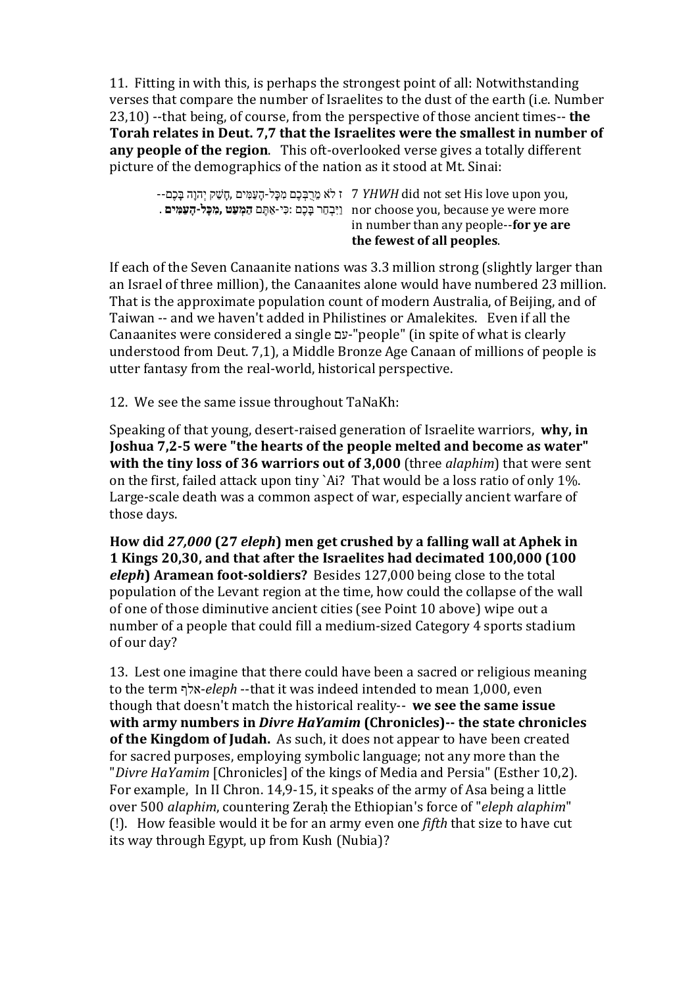11. Fitting in with this, is perhaps the strongest point of all: Notwithstanding verses that compare the number of Israelites to the dust of the earth (i.e. Number 23,10) --that being, of course, from the perspective of those ancient times-- **the Torah relates in Deut. 7,7 that the Israelites were the smallest in number of any people of the region**. This oft-overlooked verse gives a totally different picture of the demographics of the nation as it stood at Mt. Sinai:

| the fewest of all peoples.                                                                                  |
|-------------------------------------------------------------------------------------------------------------|
| in number than any people--for ye are                                                                       |
| . וַיִּבְחַר בָּכֵם :כִּי-אַתֵּם הַמְעַטּ ,מִכָּל-הָעַמִּים nor choose you, because ye were more            |
| --ד י לֹא מֵרִבְּכֶם מִכַּל-הַעֲמִּים, חֲשָׁק יָהוַה בַּכֶם -- T <i>YHWH</i> did not set His love upon you, |

If each of the Seven Canaanite nations was 3.3 million strong (slightly larger than an Israel of three million), the Canaanites alone would have numbered 23 million. That is the approximate population count of modern Australia, of Beijing, and of Taiwan -- and we haven't added in Philistines or Amalekites. Even if all the Canaanites were considered a single עם-"people" (in spite of what is clearly understood from Deut. 7,1), a Middle Bronze Age Canaan of millions of people is utter fantasy from the real-world, historical perspective.

12. We see the same issue throughout TaNaKh:

Speaking of that young, desert-raised generation of Israelite warriors, **why, in Joshua 7,2-5 were "the hearts of the people melted and become as water" with the tiny loss of 36 warriors out of 3,000** (three *alaphim*) that were sent on the first, failed attack upon tiny `Ai? That would be a loss ratio of only 1%. Large-scale death was a common aspect of war, especially ancient warfare of those days.

**How did** *27,000* **(27** *eleph***) men get crushed by a falling wall at Aphek in 1 Kings 20,30, and that after the Israelites had decimated 100,000 (100**  *eleph***) Aramean foot-soldiers?** Besides 127,000 being close to the total population of the Levant region at the time, how could the collapse of the wall of one of those diminutive ancient cities (see Point 10 above) wipe out a number of a people that could fill a medium-sized Category 4 sports stadium of our day?

13. Lest one imagine that there could have been a sacred or religious meaning to the term אלף-*eleph* --that it was indeed intended to mean 1,000, even though that doesn't match the historical reality-- **we see the same issue with army numbers in** *Divre HaYamim* **(Chronicles)-- the state chronicles of the Kingdom of Judah.** As such, it does not appear to have been created for sacred purposes, employing symbolic language; not any more than the "*Divre HaYamim* [Chronicles] of the kings of Media and Persia" (Esther 10,2). For example, In II Chron. 14,9-15, it speaks of the army of Asa being a little over 500 *alaphim*, countering Zeraḥ the Ethiopian's force of "*eleph alaphim*" (!). How feasible would it be for an army even one *fifth* that size to have cut its way through Egypt, up from Kush (Nubia)?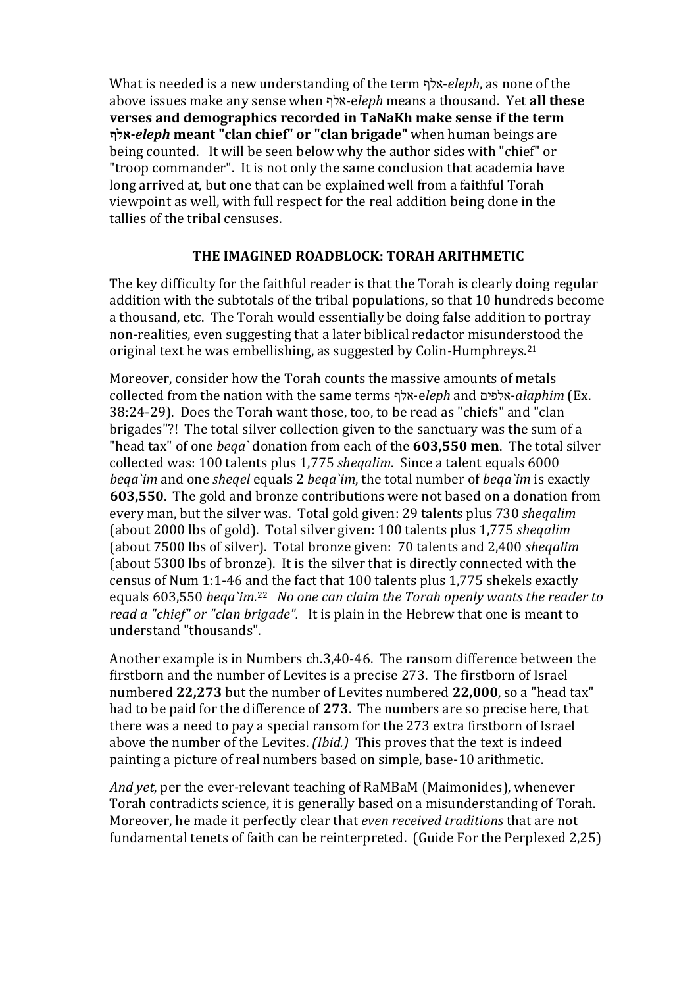What is needed is a new understanding of the term אלף-*eleph*, as none of the above issues make any sense when אלף-e*leph* means a thousand. Yet **all these verses and demographics recorded in TaNaKh make sense if the term אלף-***eleph* **meant "clan chief" or "clan brigade"** when human beings are being counted. It will be seen below why the author sides with "chief" or "troop commander". It is not only the same conclusion that academia have long arrived at, but one that can be explained well from a faithful Torah viewpoint as well, with full respect for the real addition being done in the tallies of the tribal censuses.

## **THE IMAGINED ROADBLOCK: TORAH ARITHMETIC**

The key difficulty for the faithful reader is that the Torah is clearly doing regular addition with the subtotals of the tribal populations, so that 10 hundreds become a thousand, etc. The Torah would essentially be doing false addition to portray non-realities, even suggesting that a later biblical redactor misunderstood the original text he was embellishing, as suggested by Colin-Humphreys. 21

Moreover, consider how the Torah counts the massive amounts of metals collected from the nation with the same terms אלף-e*leph* and אלפים-*alaphim* (Ex. 38:24-29). Does the Torah want those, too, to be read as "chiefs" and "clan brigades"?! The total silver collection given to the sanctuary was the sum of a "head tax" of one *beqa`* donation from each of the **603,550 men**. The total silver collected was: 100 talents plus 1,775 *sheqalim*. Since a talent equals 6000 *beqa`im* and one *sheqel* equals 2 *beqa`im*, the total number of *beqa`im* is exactly **603,550**. The gold and bronze contributions were not based on a donation from every man, but the silver was. Total gold given: 29 talents plus 730 *sheqalim* (about 2000 lbs of gold). Total silver given: 100 talents plus 1,775 *sheqalim* (about 7500 lbs of silver). Total bronze given: 70 talents and 2,400 *sheqalim* (about 5300 lbs of bronze). It is the silver that is directly connected with the census of Num 1:1-46 and the fact that 100 talents plus 1,775 shekels exactly equals 603,550 *beqa`im.*22 *No one can claim the Torah openly wants the reader to read a "chief" or "clan brigade".* It is plain in the Hebrew that one is meant to understand "thousands".

Another example is in Numbers ch.3,40-46. The ransom difference between the firstborn and the number of Levites is a precise 273. The firstborn of Israel numbered **22,273** but the number of Levites numbered **22,000**, so a "head tax" had to be paid for the difference of **273**. The numbers are so precise here, that there was a need to pay a special ransom for the 273 extra firstborn of Israel above the number of the Levites. *(Ibid.)* This proves that the text is indeed painting a picture of real numbers based on simple, base-10 arithmetic.

*And yet*, per the ever-relevant teaching of RaMBaM (Maimonides), whenever Torah contradicts science, it is generally based on a misunderstanding of Torah. Moreover, he made it perfectly clear that *even received traditions* that are not fundamental tenets of faith can be reinterpreted. (Guide For the Perplexed 2,25)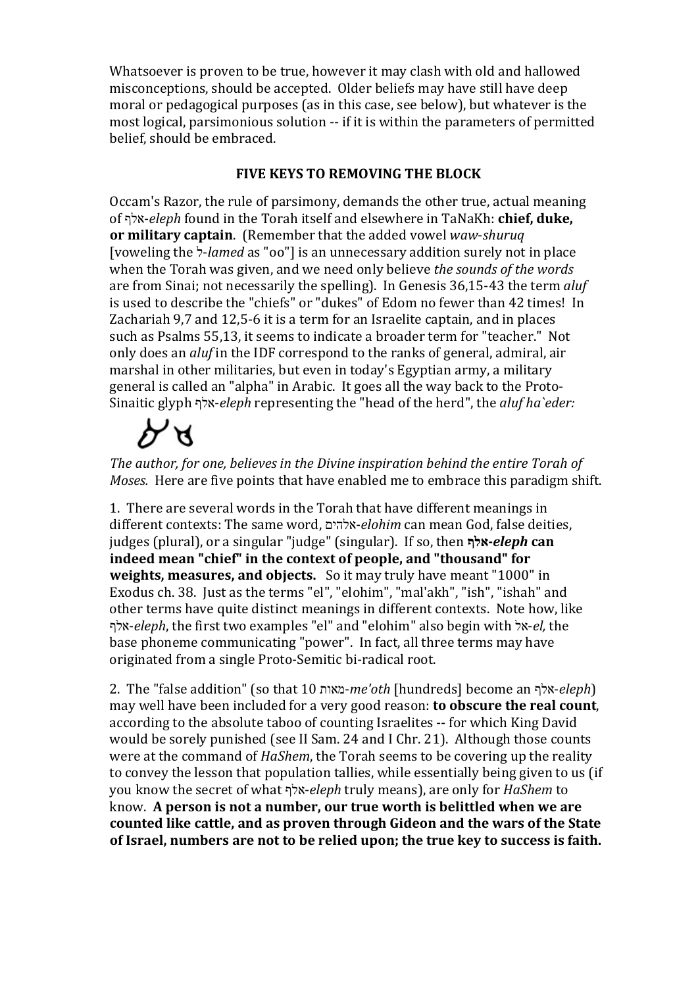Whatsoever is proven to be true, however it may clash with old and hallowed misconceptions, should be accepted. Older beliefs may have still have deep moral or pedagogical purposes (as in this case, see below), but whatever is the most logical, parsimonious solution -- if it is within the parameters of permitted belief, should be embraced.

## **FIVE KEYS TO REMOVING THE BLOCK**

Occam's Razor, the rule of parsimony, demands the other true, actual meaning of אלף-*eleph* found in the Torah itself and elsewhere in TaNaKh: **chief, duke, or military captain**. (Remember that the added vowel *waw*-*shuruq* [voweling the ל-*lamed* as "oo"] is an unnecessary addition surely not in place when the Torah was given, and we need only believe *the sounds of the words* are from Sinai; not necessarily the spelling). In Genesis 36,15-43 the term *aluf*  is used to describe the "chiefs" or "dukes" of Edom no fewer than 42 times! In Zachariah 9,7 and 12,5-6 it is a term for an Israelite captain, and in places such as Psalms 55,13, it seems to indicate a broader term for "teacher." Not only does an *aluf* in the IDF correspond to the ranks of general, admiral, air marshal in other militaries, but even in today's Egyptian army, a military general is called an "alpha" in Arabic. It goes all the way back to the Proto-Sinaitic glyph אלף-*eleph* representing the "head of the herd", the *aluf ha`eder:*

# か

*The author, for one, believes in the Divine inspiration behind the entire Torah of Moses.* Here are five points that have enabled me to embrace this paradigm shift.

1. There are several words in the Torah that have different meanings in different contexts: The same word, אלהים-*elohim* can mean God, false deities, judges (plural), or a singular "judge" (singular). If so, then **אלף-***eleph* **can indeed mean "chief" in the context of people, and "thousand" for weights, measures, and objects.** So it may truly have meant "1000" in Exodus ch. 38. Just as the terms "el", "elohim", "mal'akh", "ish", "ishah" and other terms have quite distinct meanings in different contexts. Note how, like אלף-*eleph*, the first two examples "el" and "elohim" also begin with אל-*el,* the base phoneme communicating "power". In fact, all three terms may have originated from a single Proto-Semitic bi-radical root.

2. The "false addition" (so that 10 מאות-*me'oth* [hundreds] become an אלף-*eleph*) may well have been included for a very good reason: **to obscure the real count**, according to the absolute taboo of counting Israelites -- for which King David would be sorely punished (see II Sam. 24 and I Chr. 21). Although those counts were at the command of *HaShem*, the Torah seems to be covering up the reality to convey the lesson that population tallies, while essentially being given to us (if you know the secret of what אלף-*eleph* truly means), are only for *HaShem* to know. **A person is not a number, our true worth is belittled when we are counted like cattle, and as proven through Gideon and the wars of the State of Israel, numbers are not to be relied upon; the true key to success is faith.**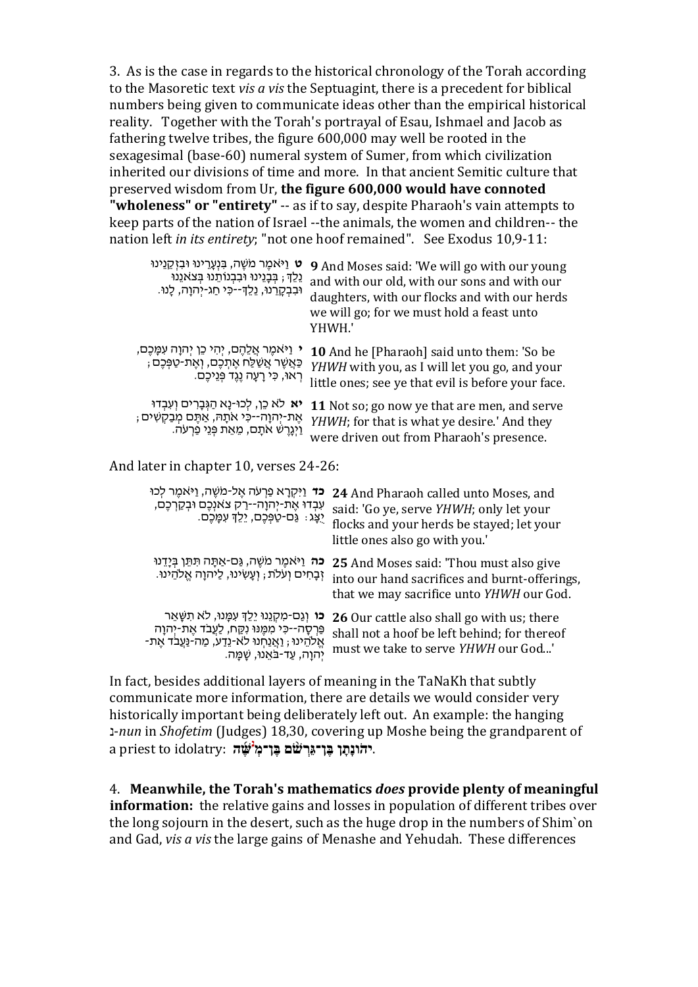3. As is the case in regards to the historical chronology of the Torah according to the Masoretic text *vis a vis* the Septuagint, there is a precedent for biblical numbers being given to communicate ideas other than the empirical historical reality. Together with the Torah's portrayal of Esau, Ishmael and Jacob as fathering twelve tribes, the figure 600,000 may well be rooted in the sexagesimal (base-60) numeral system of Sumer, from which civilization inherited our divisions of time and more. In that ancient Semitic culture that preserved wisdom from Ur, **the figure 600,000 would have connoted "wholeness" or "entirety"** -- as if to say, despite Pharaoh's vain attempts to keep parts of the nation of Israel --the animals, the women and children-- the nation left *in its entirety*; "not one hoof remained". See Exodus 10,9-11:

| ט וַיּאמֵר מֹשֵׁה, בִּנְעָרֵינוּ וּבִזְקֵנֵינוּ<br>ְגֵלֶךְ ; בְּבָנֵינוּ וּבִבְנוֹתֵנוּ בְּצֹאנֵנוּ<br>וּבִבְקָרֵנוּ, נֵלֵךְ--כִּי חַג-יְהוָה, לָנוּ.                                                      | YHWH.' | <b>9</b> And Moses said: 'We will go with our young<br>and with our old, with our sons and with our<br>daughters, with our flocks and with our herds<br>we will go; for we must hold a feast unto |
|------------------------------------------------------------------------------------------------------------------------------------------------------------------------------------------------------------|--------|---------------------------------------------------------------------------------------------------------------------------------------------------------------------------------------------------|
| י וַיּאמֶר אֲלֵהֶם, יְהִי כֵן יְהוָה עִמֲכֶם,<br>ְכַּאֲשֶׁר אֲשַׁלַּח אֶתְכֶם, וְאֶת-טַפְּכֶם<br>ְרְאוּ, כִּי רָעָה נֶגֶד פְּנֵיכֶם.                                                                       |        | <b>10</b> And he [Pharaoh] said unto them: 'So be<br>YHWH with you, as I will let you go, and your<br>little ones; see ye that evil is before your face.                                          |
| יא לא כֵן, לְכוּ-נָא הַגְּבָרִים וְעִבְדוּ<br>ּאֶת-יְהוָה--כִּי אֹתָהּ, אַתֶּם מְבַקִשִּׁים ;<br>ַוַיְגָרֶשׁ אֹתָם, מֵאֵת פְּנֵי פַרְעֹה.                                                                  |        | 11 Not so; go now ye that are men, and serve<br>YHWH; for that is what ye desire.' And they<br>were driven out from Pharaoh's presence.                                                           |
| And later in chapter 10, verses 24-26:                                                                                                                                                                     |        |                                                                                                                                                                                                   |
| <b>כֹּד</b> וַיִּקְרָא פַּרְעֹה אֶל-מֹשֶׁה, וַיֹּאמֶר לְכוּ<br>עִבְדוּ אֶת-יְהוָה--רַק צֹאנְכֶם וּבְקַרְכֶם,<br>יֻצָּג: גַּם-טַפְּכֶם, יֵלֵךְ עִמָּכֶם.                                                    |        | 24 And Pharaoh called unto Moses, and<br>said: 'Go ye, serve YHWH; only let your<br>flocks and your herds be stayed; let your<br>little ones also go with you.'                                   |
| <b>כה</b> וַיּאמֵר מֹשֵׁה, גַּם-אַתָּה תִּתֵּן בִּיָדֵנוּ<br>זְבָחִים וְעֹלֹת , וְעָשִׂינוּ, לַיהוָה אֱלֹהֵינוּ.                                                                                           |        | 25 And Moses said: 'Thou must also give<br>into our hand sacrifices and burnt-offerings,<br>that we may sacrifice unto YHWH our God.                                                              |
| <b>כו</b> וְגַם-מִקְנֵנוּ יֵלֵךְ עִמָּנוּ, לֹא תִשָּׁאֵר<br>פַּרְסָה--כִּי מִמֶּנוּ נִקֵּח, לַעֲבֹד אֶת-יְהוָה<br>ּאֱלֹהֵינוּ ; וַאֲנַחְנוּ לֹא-נֵדַע, מַה-נַּעֲבֹד אֶת-<br>יִהוַה, עַד-בֹּאֵנוּ, שַׁמַּה. |        | 26 Our cattle also shall go with us; there<br>shall not a hoof be left behind; for thereof<br>must we take to serve YHWH our God'                                                                 |
|                                                                                                                                                                                                            |        |                                                                                                                                                                                                   |

In fact, besides additional layers of meaning in the TaNaKh that subtly communicate more information, there are details we would consider very historically important being deliberately left out. An example: the hanging נ-*nun* in *Shofetim* (Judges) 18,30, covering up Moshe being the grandparent of . **שֶּׁ֜ ה נַ יהֹונָתָ ן בֶּ ן־גֵּרְ שֹׁ֨ ם בֶּ ן־מְ** :idolatry to priest a

4. **Meanwhile, the Torah's mathematics** *does* **provide plenty of meaningful information:** the relative gains and losses in population of different tribes over the long sojourn in the desert, such as the huge drop in the numbers of Shim`on and Gad, *vis a vis* the large gains of Menashe and Yehudah. These differences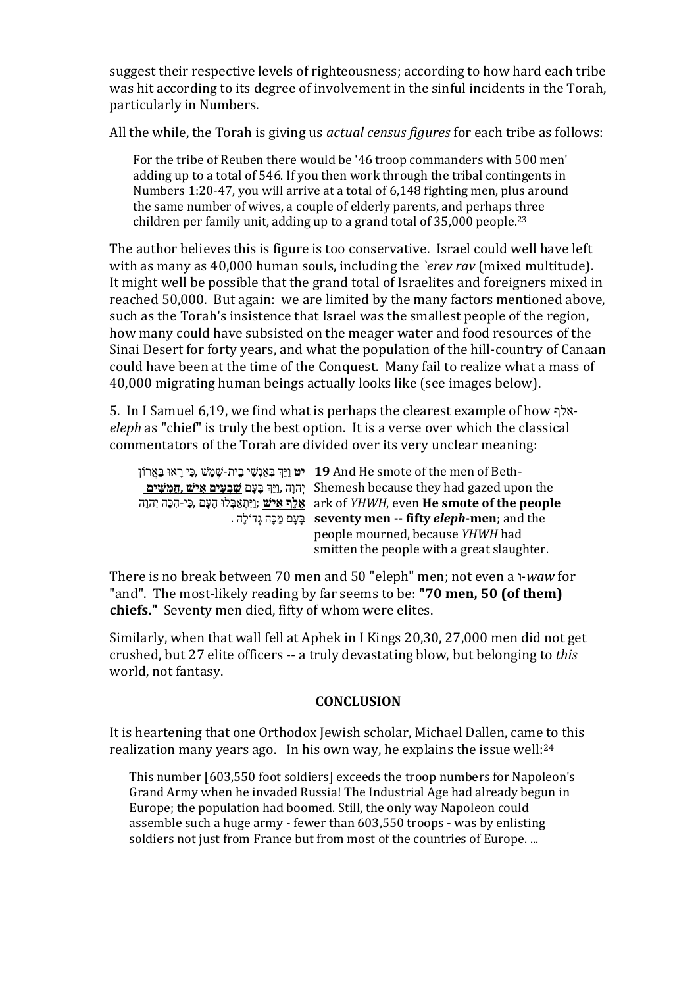suggest their respective levels of righteousness; according to how hard each tribe was hit according to its degree of involvement in the sinful incidents in the Torah, particularly in Numbers.

All the while, the Torah is giving us *actual census figures* for each tribe as follows:

For the tribe of Reuben there would be '46 troop commanders with 500 men' adding up to a total of 546. If you then work through the tribal contingents in Numbers 1:20-47, you will arrive at a total of 6,148 fighting men, plus around the same number of wives, a couple of elderly parents, and perhaps three children per family unit, adding up to a grand total of 35,000 people.23

The author believes this is figure is too conservative. Israel could well have left with as many as 40,000 human souls, including the *`erev rav* (mixed multitude). It might well be possible that the grand total of Israelites and foreigners mixed in reached 50,000. But again: we are limited by the many factors mentioned above, such as the Torah's insistence that Israel was the smallest people of the region, how many could have subsisted on the meager water and food resources of the Sinai Desert for forty years, and what the population of the hill-country of Canaan could have been at the time of the Conquest. Many fail to realize what a mass of 40,000 migrating human beings actually looks like (see images below).

5. In I Samuel 6,19, we find what is perhaps the clearest example of how אלף*eleph* as "chief" is truly the best option. It is a verse over which the classical commentators of the Torah are divided over its very unclear meaning:

| יָט בָּיָת-שֶׁמֵשׁ (כִּי רָאוּ בַּאֲרוֹן 19 And He smote of the men of Beth-               |
|--------------------------------------------------------------------------------------------|
| יְהוָה ,וַיַּךְ בָּעָם <del>שַׁבִעִים אִישׁ, ghemesh</del> because they had gazed upon the |
| יִהְנָה יִהְנָה יִהְנָה (ark of YHWH, even <b>He smote of the people</b>                   |
| . בַּעֲם מַכָּה גְדוֹלֵה seventy men -- fifty eleph-men; and the                           |
| people mourned, because YHWH had                                                           |
| smitten the people with a great slaughter.                                                 |

There is no break between 70 men and 50 "eleph" men; not even a ו-*waw* for "and". The most-likely reading by far seems to be: **"70 men, 50 (of them) chiefs."** Seventy men died, fifty of whom were elites.

Similarly, when that wall fell at Aphek in I Kings 20,30, 27,000 men did not get crushed, but 27 elite officers -- a truly devastating blow, but belonging to *this* world, not fantasy.

## **CONCLUSION**

It is heartening that one Orthodox Jewish scholar, Michael Dallen, came to this realization many years ago. In his own way, he explains the issue well:24

This number [603,550 foot soldiers] exceeds the troop numbers for [Napoleon's](http://www.1stcovenant.com/pages/RiddleoftheBible.htm)  Grand Army when he invaded Russia! The Industrial Age had already begun in [Europe;](http://www.1stcovenant.com/pages/RiddleoftheBible.htm) the population had boomed. Still, the only way Napoleon could assemble such a huge army - fewer than 603,550 troops - was by enlisting soldiers not just from France but from most of the countries of Europe. ...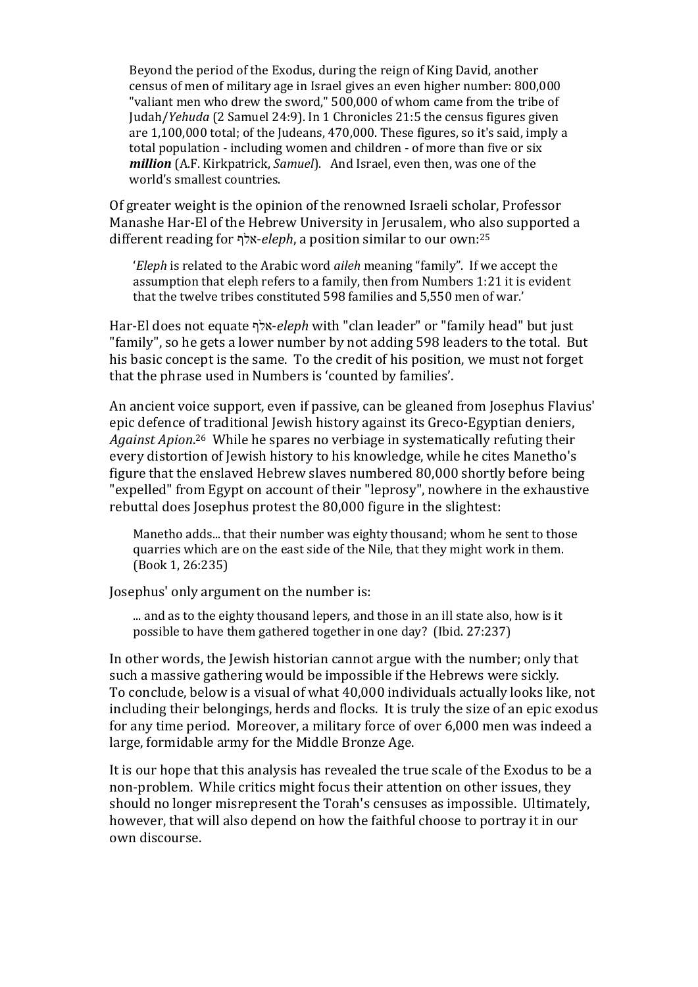Beyond the period of the Exodus, during the reign of King David, another census of men of military age in Israel gives an even higher number: 800,000 "valiant men who drew the sword," 500,000 of whom came from the tribe of Judah/*Yehuda* (2 Samuel 24:9). In 1 Chronicles 21:5 the census figures given are 1,100,000 total; of the Judeans, 470,000. These figures, so it's said, imply a total population - including women and children - of more than five or six *million* (A.F. Kirkpatrick, *Samuel*). And Israel, even then, was one of the world's smallest countries.

Of greater weight is the opinion of the renowned Israeli scholar, Professor Manashe Har-El of the Hebrew University in Jerusalem, who also supported a different reading for אלף-*eleph*, a position similar to our own:25

'*Eleph* is related to the Arabic word *aileh* meaning "family". If we accept the assumption that eleph refers to a family, then from Numbers 1:21 it is evident that the twelve tribes constituted 598 families and 5,550 men of war.'

Har-El does not equate אלף-*eleph* with "clan leader" or "family head" but just "family", so he gets a lower number by not adding 598 leaders to the total. But his basic concept is the same. To the credit of his position, we must not forget that the phrase used in Numbers is 'counted by families'.

An ancient voice support, even if passive, can be gleaned from Josephus Flavius' epic defence of traditional Jewish history against its Greco-Egyptian deniers, *Against Apion*. 26 While he spares no verbiage in systematically refuting their every distortion of Jewish history to his knowledge, while he cites Manetho's figure that the enslaved Hebrew slaves numbered 80,000 shortly before being "expelled" from Egypt on account of their "leprosy", nowhere in the exhaustive rebuttal does Josephus protest the 80,000 figure in the slightest:

Manetho adds... that their number was eighty thousand; whom he sent to those quarries which are on the east side of the Nile, that they might work in them. (Book 1, 26:235)

Josephus' only argument on the number is:

... and as to the eighty thousand lepers, and those in an ill state also, how is it possible to have them gathered together in one day? (Ibid. 27:237)

In other words, the Jewish historian cannot argue with the number; only that such a massive gathering would be impossible if the Hebrews were sickly. To conclude, below is a visual of what 40,000 individuals actually looks like, not including their belongings, herds and flocks. It is truly the size of an epic exodus for any time period. Moreover, a military force of over 6,000 men was indeed a large, formidable army for the Middle Bronze Age.

It is our hope that this analysis has revealed the true scale of the Exodus to be a non-problem. While critics might focus their attention on other issues, they should no longer misrepresent the Torah's censuses as impossible. Ultimately, however, that will also depend on how the faithful choose to portray it in our own discourse.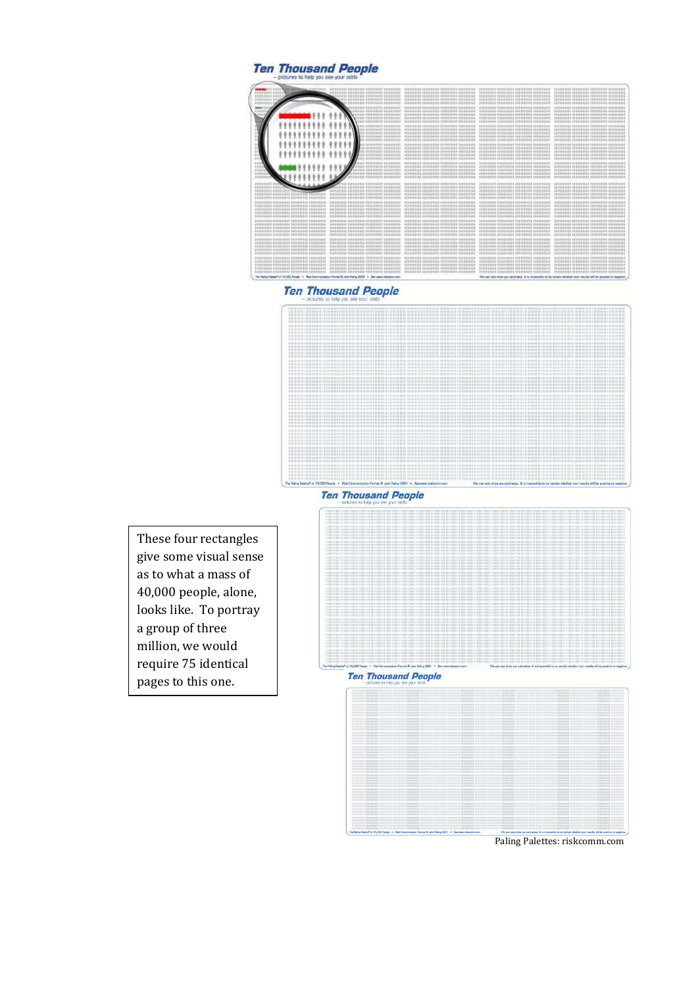



**Ten Thousand People** 



**Ten Thousand People** 

These four rectangles give some visual sense as to what a mass of 40,000 people, alone, looks like. To portray a group of three million, we would require 75 identical pages to this one.

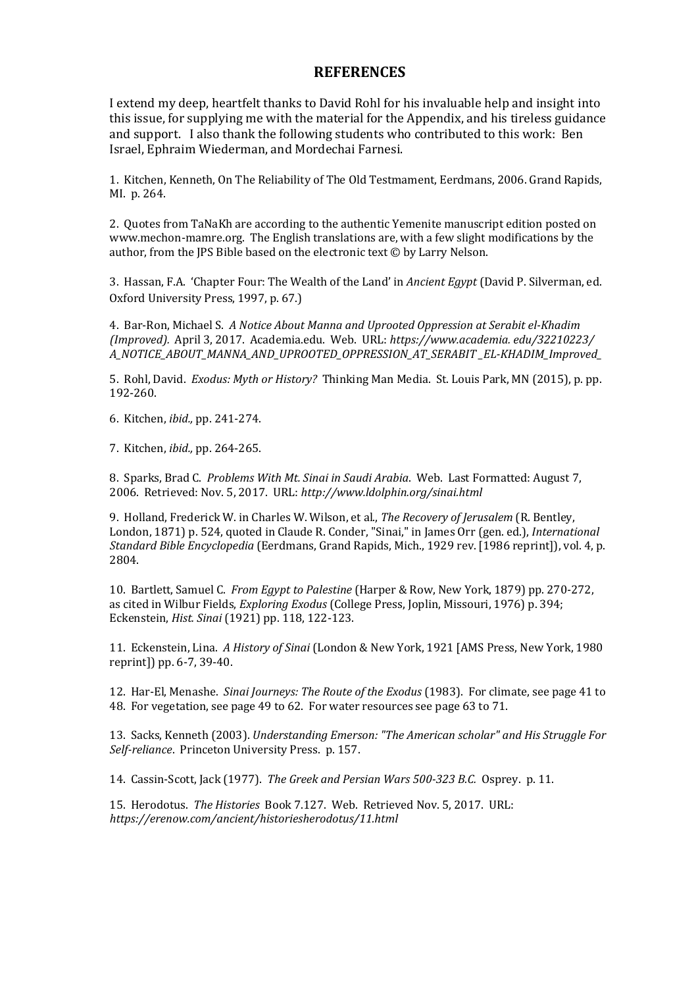## **REFERENCES**

I extend my deep, heartfelt thanks to David Rohl for his invaluable help and insight into this issue, for supplying me with the material for the Appendix, and his tireless guidance and support. I also thank the following students who contributed to this work: Ben Israel, Ephraim Wiederman, and Mordechai Farnesi.

1. Kitchen, Kenneth, On The Reliability of The Old Testmament, Eerdmans, 2006. Grand Rapids, MI. p. 264.

2. Quotes from TaNaKh are according to the authentic Yemenite manuscript edition posted on www.mechon-mamre.org. The English translations are, with a few slight modifications by the author, from the JPS Bible based on the electronic text © by Larry Nelson.

3. Hassan, F.A. 'Chapter Four: The Wealth of the Land' in *Ancient Egypt* (David P. Silverman, ed. Oxford University Press, 1997, p. 67.)

4. Bar-Ron, Michael S. *A Notice About Manna and Uprooted Oppression at Serabit el-Khadim (Improved).* April 3, 2017. Academia.edu. Web. URL: *https://www.academia. edu/32210223/ A\_NOTICE\_ABOUT\_MANNA\_AND\_UPROOTED\_OPPRESSION\_AT\_SERABIT \_EL-KHADIM\_Improved\_*

5. Rohl, David. *Exodus: Myth or History?* Thinking Man Media. St. Louis Park, MN (2015), p. pp. 192-260.

6. Kitchen, *ibid.,* pp. 241-274.

7. Kitchen, *ibid.,* pp. 264-265.

8. Sparks, Brad C. *Problems With Mt. Sinai in Saudi Arabia*. Web. Last Formatted: August 7, 2006. Retrieved: Nov. 5, 2017. URL: *http://www.ldolphin.org/sinai.html*

9. Holland, Frederick W. in Charles W. Wilson, et al., *The Recovery of Jerusalem* (R. Bentley, London, 1871) p. 524, quoted in C[laude R. Conder, "Sinai," in James Orr \(gen. ed.\)](http://www.ldolphin.org/sinai.html), *International Standard Bible Encyclopedia* (Eerdmans, Grand Rapids, Mich., 1929 rev. [1986 reprint]), vol. 4, p. 2804.

10. Bartlett, Samuel C. *From Egypt to Palestine* (Harper & Row, New York, 1879) pp. 270-272, as cited in Wilbur Fields, *Exploring Exodus* (College Press, Joplin, Missouri, 1976) p. 394; Eckenstein, *Hist. Sinai* (1921) pp. 118, 122-123.

11. Eckenstein, Lina. *A History of Sinai* (London & New York, 1921 [AMS Press, New York, 1980 reprint]) pp. 6-7, 39-40.

12. Har-El, Menashe. *Sinai Journeys: The Route of the Exodus* (1983). For climate, see page 41 to 48. For vegetation, see page 49 to 62. For water resources see page 63 to 71.

13. Sacks, Kenneth (2003). *Understanding Emerson: "The American scholar" and His Struggle For Self-reliance*. Princeton University Press. p. 157.

14. Cassin-Scott, Jack (1977). *[The Greek and Persian Wars 500-323 B.C.](https://books.google.com/books?id=bi1Zd1o9MRwC&pg=PA157)* Osprey. p. 11.

[15. Herodo](https://books.google.com/books?id=bi1Zd1o9MRwC&pg=PA157)tus. *The Histories* Book 7.127. Web. Retrieved Nov. 5, 2017. URL: *https://erenow.com/ancien[t/historiesherodotus/11.html](https://books.google.com/books?id=geWUfjew_PEC&pg=PA11)*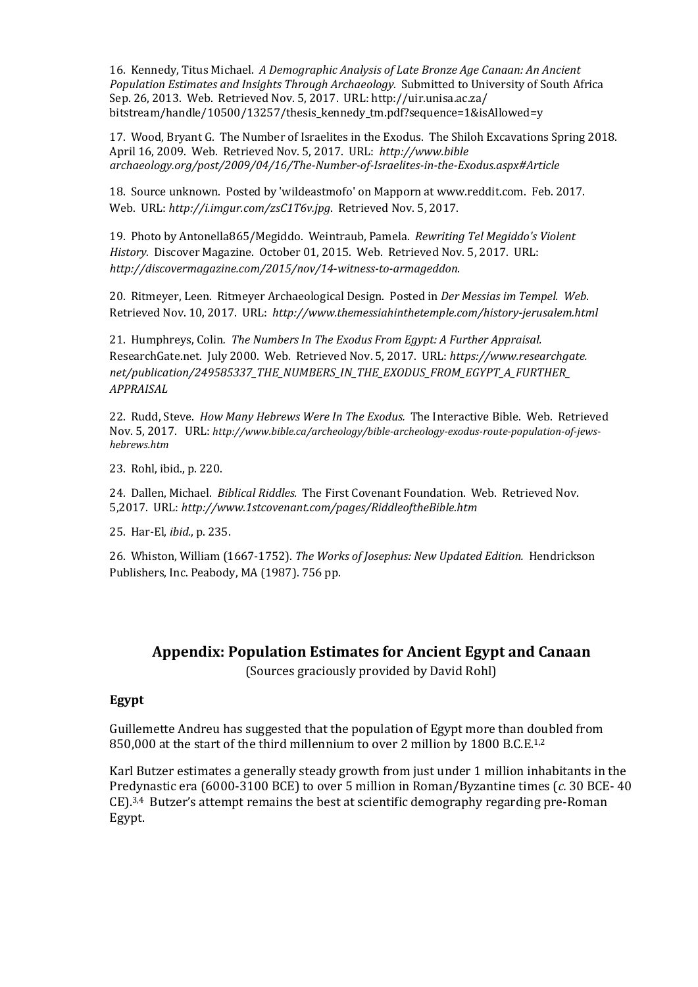16. Kennedy, Titus Michael. *A Demographic Analysis of Late Bronze Age Canaan: An Ancient Population Estimates and Insights Through Archaeology.* Submitted to University of South Africa Sep. 26, 2013. Web. Retrieved Nov. 5, 2017. URL: http://uir.unisa.ac.za/ bitstream/handle/10500/13257/thesis\_kennedy\_tm.pdf?sequence=1&isAllowed=y

17. Wood, Bryant G. The Number of Israelites in the Exodus. The Shiloh Excavations Spring 2018. April 16, 2009. Web. Retrieved Nov. 5, 2017. URL: *http://www.bible archaeology.org/post/2009/04/16/The-Number-of-Israelites-in-the-Exodus.aspx#Article*

18. Source unknown. Posted by 'wildeastmofo' on Mapporn at www.reddit.com. Feb. 2017. Web. URL: *http://i.imgur.com/zsC1T6v.jpg*. Retrieved Nov. 5, 2017.

19. Photo by Antonella865/Megiddo. Weintraub, Pamela. *Rewriting Tel Megiddo's Violent History.* Discover Magazine. October 01, 2015. Web. Retrieved Nov. 5, 2017. URL: *http://discovermagazine.com/2015/nov/14-witness-to-armageddon*.

20. Ritmeyer, Leen. Ritmeyer Archaeological Design. Posted in *Der Messias im Tempel. Web*. Retrieved Nov. 10, 2017. URL: *http://www.themessiahinthetemple.com/history-jerusalem.html*

21. Humphreys, Colin*. The Numbers In The Exodus From Egypt: A Further Appraisal.* ResearchGate.net. July 2000. Web. Retrieved Nov. 5, 2017. URL: *https://www.researchgate. net/publication/249585337\_THE\_NUMBERS\_IN\_THE\_EXODUS\_FROM\_EGYPT\_A\_FURTHER\_ APPRAISAL*

22. Rudd, Steve. *How Many Hebrews Were In The Exodus.* The Interactive Bible. Web. Retrieved Nov. 5, 2017. URL: *http://www.bible.ca/archeology/bible-archeology-exodus-route-population-of-jewshebrews.htm*

23. Rohl, ibid., p. 220.

24. Dallen, Michael. *Biblical Riddles.* The First Covenant Foundation. Web. Retrieved Nov. 5,2017. URL: *http://www.1stcovenant.com/pages/RiddleoftheBible.htm*

25. Har-El, *ibid.*, p. 235.

26. Whiston, William (1667-1752). *The Works of Josephus: New Updated Edition.* Hendrickson Publishers, Inc. Peabody, MA (1987). 756 pp.

## **Appendix: Population Estimates for Ancient Egypt and Canaan**

(Sources graciously provided by David Rohl)

#### **Egypt**

Guillemette Andreu has suggested that the population of Egypt more than doubled from 850,000 at the start of the third millennium to over 2 million by 1800 B.C.E.<sup>1,2</sup>

Karl Butzer estimates a generally steady growth from just under 1 million inhabitants in the Predynastic era (6000-3100 BCE) to over 5 million in Roman/Byzantine times (*c.* 30 BCE- 40 CE).3,4 Butzer's attempt remains the best at scientific demography regarding pre-Roman Egypt.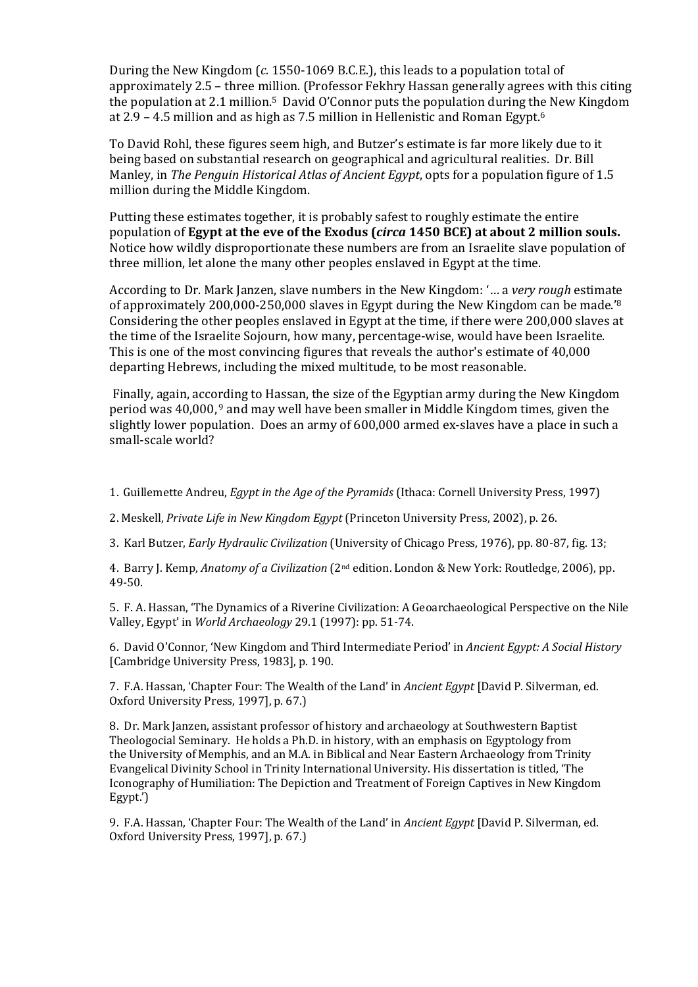During the New Kingdom (*c.* 1550-1069 B.C.E.), this leads to a population total of approximately 2.5 – three million. (Professor Fekhry Hassan generally agrees with this citing the population at 2.1 million. 5 David O'Connor puts the population during the New Kingdom at 2.9 – 4.5 million and as high as 7.5 million in Hellenistic and Roman Egypt.6

To David Rohl, these figures seem high, and Butzer's estimate is far more likely due to it being based on substantial research on geographical and agricultural realities. Dr. Bill Manley, in *The Penguin Historical Atlas of Ancient Egypt*, opts for a population figure of 1.5 million during the Middle Kingdom.

Putting these estimates together, it is probably safest to roughly estimate the entire population of **Egypt at the eve of the Exodus (***circa* **1450 BCE) at about 2 million souls.** Notice how wildly disproportionate these numbers are from an Israelite slave population of three million, let alone the many other peoples enslaved in Egypt at the time.

According to Dr. Mark Janzen, slave numbers in the New Kingdom: '… a *very rough* estimate of approximately 200,000-250,000 slaves in Egypt during the New Kingdom can be made.'8 Considering the other peoples enslaved in Egypt at the time, if there were 200,000 slaves at the time of the Israelite Sojourn, how many, percentage-wise, would have been Israelite. This is one of the most convincing figures that reveals the author's estimate of 40,000 departing Hebrews, including the mixed multitude, to be most reasonable.

Finally, again, according to Hassan, the size of the Egyptian army during the New Kingdom period was 40,000, <sup>9</sup> and may well have been smaller in Middle Kingdom times, given the slightly lower population. Does an army of 600,000 armed ex-slaves have a place in such a small-scale world?

1. Guillemette Andreu, *Egypt in the Age of the Pyramids* (Ithaca: Cornell University Press, 1997)

2. Meskell, *Private Life in New Kingdom Egypt* (Princeton University Press, 2002), p. 26.

3. Karl Butzer, *Early Hydraulic Civilization* (University of Chicago Press, 1976), pp. 80-87, fig. 13;

4. Barry J. Kemp, *Anatomy of a Civilization* (2nd edition. London & New York: Routledge, 2006), pp. 49-50.

5. F. A. Hassan, 'The Dynamics of a Riverine Civilization: A Geoarchaeological Perspective on the Nile Valley, Egypt' in *World Archaeology* 29.1 (1997): pp. 51-74.

6. David O'Connor, 'New Kingdom and Third Intermediate Period' in *Ancient Egypt: A Social History* [Cambridge University Press, 1983], p. 190.

7. F.A. Hassan, 'Chapter Four: The Wealth of the Land' in *Ancient Egypt* [David P. Silverman, ed. Oxford University Press, 1997], p. 67.)

8. Dr. Mark Janzen, assistant professor of history and archaeology at Southwestern Baptist Theologocial Seminary. He holds a Ph.D. in history, with an emphasis on Egyptology from the University of Memphis, and an M.A. in Biblical and Near Eastern Archaeology from Trinity Evangelical Divinity School in Trinity International University. His dissertation is titled, 'The Iconography of Humiliation: The Depiction and Treatment of Foreign Captives in New Kingdom Egypt.')

9. F.A. Hassan, 'Chapter Four: The Wealth of the Land' in *Ancient Egypt* [David P. Silverman, ed. Oxford University Press, 1997], p. 67.)